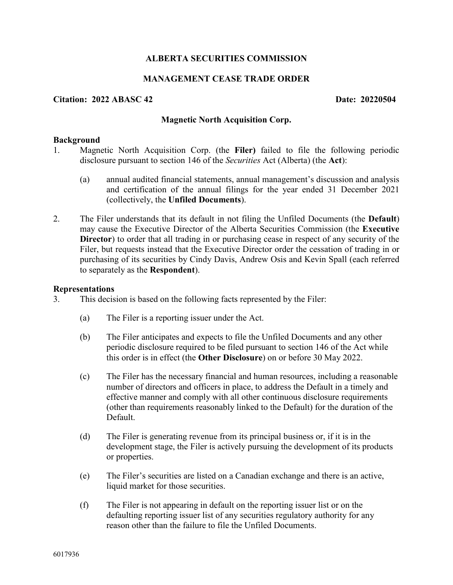# **ALBERTA SECURITIES COMMISSION**

# **MANAGEMENT CEASE TRADE ORDER**

## **Citation: 2022 ABASC 42 Date: 20220504**

### **Magnetic North Acquisition Corp.**

#### **Background**

- 1. Magnetic North Acquisition Corp. (the **Filer)** failed to file the following periodic disclosure pursuant to section 146 of the *Securities* Act (Alberta) (the **Act**):
	- (a) annual audited financial statements, annual management's discussion and analysis and certification of the annual filings for the year ended 31 December 2021 (collectively, the **Unfiled Documents**).
- 2. The Filer understands that its default in not filing the Unfiled Documents (the **Default**) may cause the Executive Director of the Alberta Securities Commission (the **Executive Director**) to order that all trading in or purchasing cease in respect of any security of the Filer, but requests instead that the Executive Director order the cessation of trading in or purchasing of its securities by Cindy Davis, Andrew Osis and Kevin Spall (each referred to separately as the **Respondent**).

#### **Representations**

- 3. This decision is based on the following facts represented by the Filer:
	- (a) The Filer is a reporting issuer under the Act.
	- (b) The Filer anticipates and expects to file the Unfiled Documents and any other periodic disclosure required to be filed pursuant to section 146 of the Act while this order is in effect (the **Other Disclosure**) on or before 30 May 2022.
	- (c) The Filer has the necessary financial and human resources, including a reasonable number of directors and officers in place, to address the Default in a timely and effective manner and comply with all other continuous disclosure requirements (other than requirements reasonably linked to the Default) for the duration of the Default.
	- (d) The Filer is generating revenue from its principal business or, if it is in the development stage, the Filer is actively pursuing the development of its products or properties.
	- (e) The Filer's securities are listed on a Canadian exchange and there is an active, liquid market for those securities.
	- (f) The Filer is not appearing in default on the reporting issuer list or on the defaulting reporting issuer list of any securities regulatory authority for any reason other than the failure to file the Unfiled Documents.